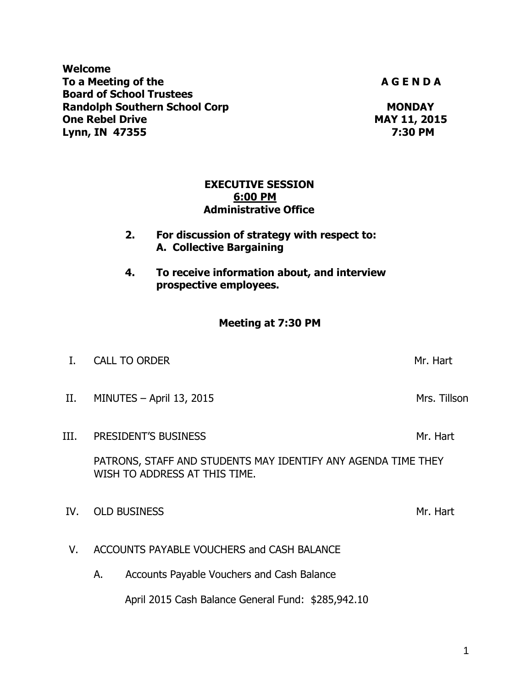**Welcome** To a Meeting of the **A G E N D A** G E N D A **Board of School Trustees Randolph Southern School Corp MONDAY One Rebel Drive Cone Accord Prive Cone Accord Prive MAY 11, 2015 Lynn, IN 47355 7:30 PM**

> **EXECUTIVE SESSION 6:00 PM Administrative Office**

**2. For discussion of strategy with respect to: A. Collective Bargaining**

**4. To receive information about, and interview prospective employees.**

## **Meeting at 7:30 PM**

|      | <b>CALL TO ORDER</b>       | Mr. Hart     |
|------|----------------------------|--------------|
| II.  | MINUTES $-$ April 13, 2015 | Mrs. Tillson |
| III. | PRESIDENT'S BUSINESS       | Mr. Hart     |

PATRONS, STAFF AND STUDENTS MAY IDENTIFY ANY AGENDA TIME THEY WISH TO ADDRESS AT THIS TIME.

IV. OLD BUSINESS Mr. Hart

- V. ACCOUNTS PAYABLE VOUCHERS and CASH BALANCE
	- A. Accounts Payable Vouchers and Cash Balance

April 2015 Cash Balance General Fund: \$285,942.10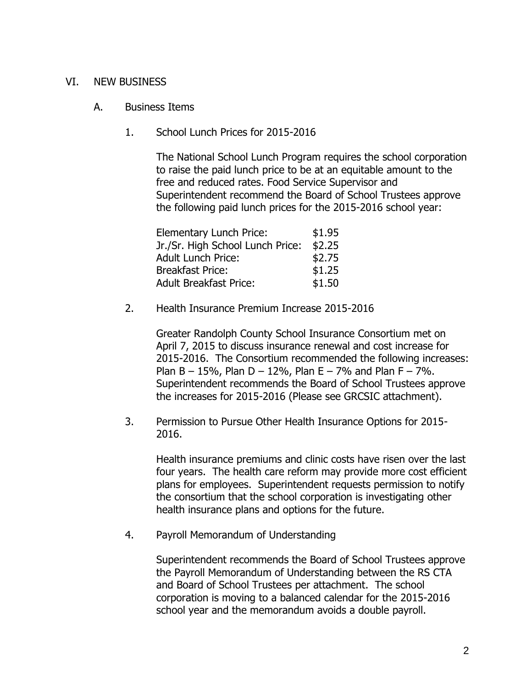## VI. NEW BUSINESS

- A. Business Items
	- 1. School Lunch Prices for 2015-2016

The National School Lunch Program requires the school corporation to raise the paid lunch price to be at an equitable amount to the free and reduced rates. Food Service Supervisor and Superintendent recommend the Board of School Trustees approve the following paid lunch prices for the 2015-2016 school year:

| Elementary Lunch Price:          | \$1.95 |
|----------------------------------|--------|
| Jr./Sr. High School Lunch Price: | \$2.25 |
| <b>Adult Lunch Price:</b>        | \$2.75 |
| <b>Breakfast Price:</b>          | \$1.25 |
| <b>Adult Breakfast Price:</b>    | \$1.50 |

2. Health Insurance Premium Increase 2015-2016

Greater Randolph County School Insurance Consortium met on April 7, 2015 to discuss insurance renewal and cost increase for 2015-2016. The Consortium recommended the following increases: Plan  $B - 15\%$ , Plan  $D - 12\%$ , Plan  $E - 7\%$  and Plan  $F - 7\%$ . Superintendent recommends the Board of School Trustees approve the increases for 2015-2016 (Please see GRCSIC attachment).

3. Permission to Pursue Other Health Insurance Options for 2015- 2016.

Health insurance premiums and clinic costs have risen over the last four years. The health care reform may provide more cost efficient plans for employees. Superintendent requests permission to notify the consortium that the school corporation is investigating other health insurance plans and options for the future.

4. Payroll Memorandum of Understanding

Superintendent recommends the Board of School Trustees approve the Payroll Memorandum of Understanding between the RS CTA and Board of School Trustees per attachment. The school corporation is moving to a balanced calendar for the 2015-2016 school year and the memorandum avoids a double payroll.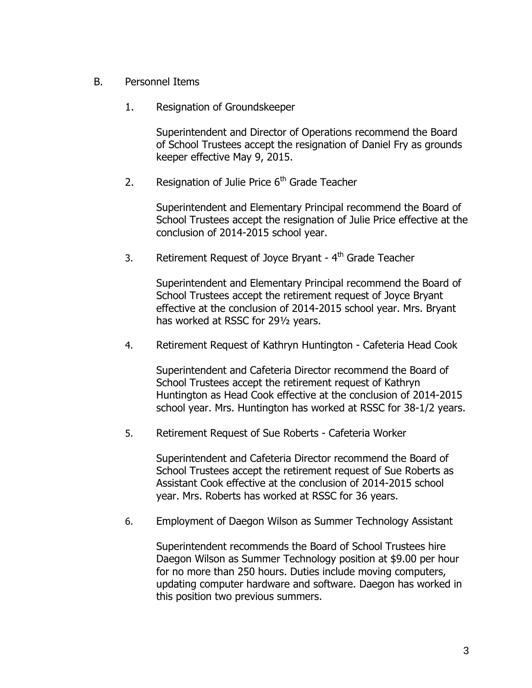- B. Personnel Items
	- 1. Resignation of Groundskeeper

Superintendent and Director of Operations recommend the Board of School Trustees accept the resignation of Daniel Fry as grounds keeper effective May 9, 2015.

2. Resignation of Julie Price  $6<sup>th</sup>$  Grade Teacher

Superintendent and Elementary Principal recommend the Board of School Trustees accept the resignation of Julie Price effective at the conclusion of 2014-2015 school year.

3. Retirement Request of Joyce Bryant - 4<sup>th</sup> Grade Teacher

Superintendent and Elementary Principal recommend the Board of School Trustees accept the retirement request of Joyce Bryant effective at the conclusion of 2014-2015 school year. Mrs. Bryant has worked at RSSC for 29½ years.

4. Retirement Request of Kathryn Huntington - Cafeteria Head Cook

Superintendent and Cafeteria Director recommend the Board of School Trustees accept the retirement request of Kathryn Huntington as Head Cook effective at the conclusion of 2014-2015 school year. Mrs. Huntington has worked at RSSC for 38-1/2 years.

5. Retirement Request of Sue Roberts - Cafeteria Worker

Superintendent and Cafeteria Director recommend the Board of School Trustees accept the retirement request of Sue Roberts as Assistant Cook effective at the conclusion of 2014-2015 school year. Mrs. Roberts has worked at RSSC for 36 years.

6. Employment of Daegon Wilson as Summer Technology Assistant

Superintendent recommends the Board of School Trustees hire Daegon Wilson as Summer Technology position at \$9.00 per hour for no more than 250 hours. Duties include moving computers, updating computer hardware and software. Daegon has worked in this position two previous summers.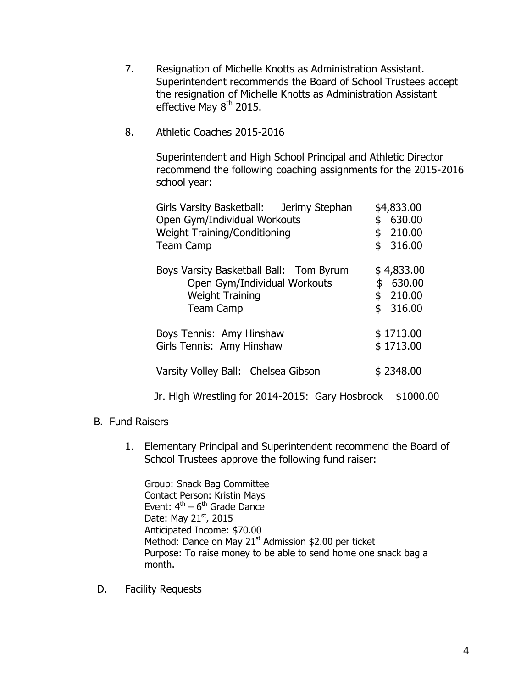- 7. Resignation of Michelle Knotts as Administration Assistant. Superintendent recommends the Board of School Trustees accept the resignation of Michelle Knotts as Administration Assistant effective May  $8<sup>th</sup>$  2015.
- 8. Athletic Coaches 2015-2016

Superintendent and High School Principal and Athletic Director recommend the following coaching assignments for the 2015-2016 school year:

| Girls Varsity Basketball: Jerimy Stephan<br>Open Gym/Individual Workouts<br><b>Weight Training/Conditioning</b><br><b>Team Camp</b> | \$4,833.00<br>630.00<br>\$<br>210.00<br>\$<br>\$<br>316.00 |
|-------------------------------------------------------------------------------------------------------------------------------------|------------------------------------------------------------|
| Boys Varsity Basketball Ball: Tom Byrum<br>Open Gym/Individual Workouts<br><b>Weight Training</b><br><b>Team Camp</b>               | \$4,833.00<br>\$<br>630.00<br>\$210.00<br>\$<br>316.00     |
| Boys Tennis: Amy Hinshaw<br>Girls Tennis: Amy Hinshaw                                                                               | \$1713.00<br>\$1713.00                                     |
| Varsity Volley Ball: Chelsea Gibson                                                                                                 | \$2348.00                                                  |

Jr. High Wrestling for 2014-2015: Gary Hosbrook \$1000.00

- B. Fund Raisers
	- 1. Elementary Principal and Superintendent recommend the Board of School Trustees approve the following fund raiser:

Group: Snack Bag Committee Contact Person: Kristin Mays Event: 4<sup>th</sup> – 6<sup>th</sup> Grade Dance Date: May 21st, 2015 Anticipated Income: \$70.00 Method: Dance on May 21<sup>st</sup> Admission \$2.00 per ticket Purpose: To raise money to be able to send home one snack bag a month.

D. Facility Requests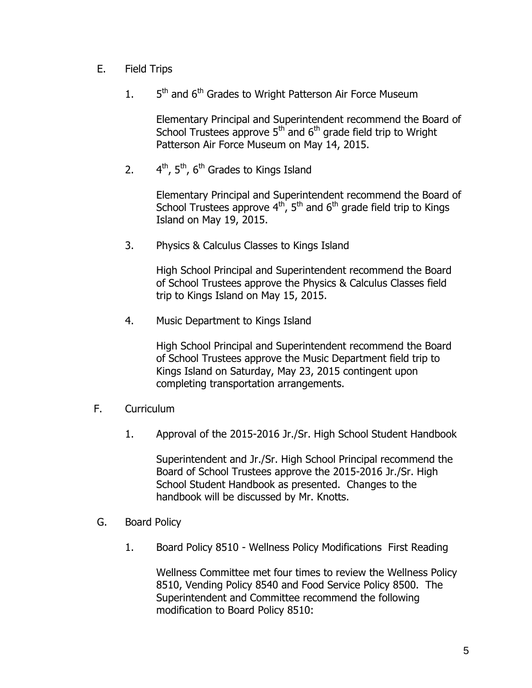- E. Field Trips
	- $1<sub>1</sub>$ 5<sup>th</sup> and 6<sup>th</sup> Grades to Wright Patterson Air Force Museum

Elementary Principal and Superintendent recommend the Board of School Trustees approve  $5<sup>th</sup>$  and  $6<sup>th</sup>$  grade field trip to Wright Patterson Air Force Museum on May 14, 2015.

 $2.$  $4<sup>th</sup>$ ,  $5<sup>th</sup>$ ,  $6<sup>th</sup>$  Grades to Kings Island

> Elementary Principal and Superintendent recommend the Board of School Trustees approve  $4^{\text{th}}$ , 5<sup>th</sup> and 6<sup>th</sup> grade field trip to Kings Island on May 19, 2015.

3. Physics & Calculus Classes to Kings Island

High School Principal and Superintendent recommend the Board of School Trustees approve the Physics & Calculus Classes field trip to Kings Island on May 15, 2015.

4. Music Department to Kings Island

High School Principal and Superintendent recommend the Board of School Trustees approve the Music Department field trip to Kings Island on Saturday, May 23, 2015 contingent upon completing transportation arrangements.

- F. Curriculum
	- 1. Approval of the 2015-2016 Jr./Sr. High School Student Handbook

Superintendent and Jr./Sr. High School Principal recommend the Board of School Trustees approve the 2015-2016 Jr./Sr. High School Student Handbook as presented. Changes to the handbook will be discussed by Mr. Knotts.

- G. Board Policy
	- 1. Board Policy 8510 Wellness Policy Modifications First Reading

Wellness Committee met four times to review the Wellness Policy 8510, Vending Policy 8540 and Food Service Policy 8500. The Superintendent and Committee recommend the following modification to Board Policy 8510: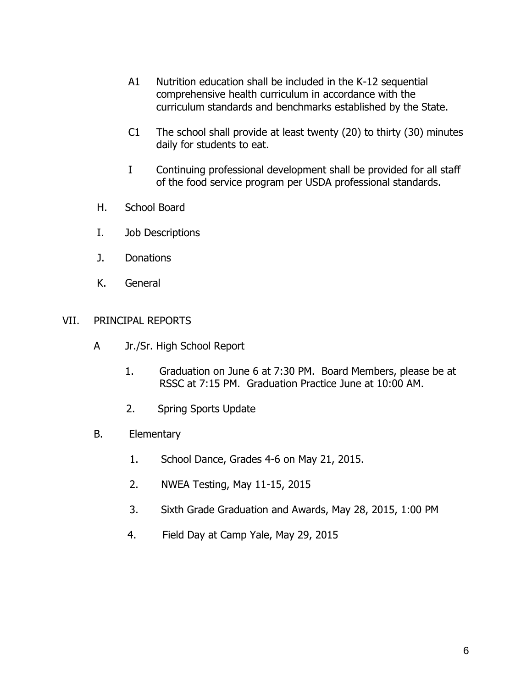- A1 Nutrition education shall be included in the K-12 sequential comprehensive health curriculum in accordance with the curriculum standards and benchmarks established by the State.
- C1 The school shall provide at least twenty (20) to thirty (30) minutes daily for students to eat.
- I Continuing professional development shall be provided for all staff of the food service program per USDA professional standards.
- H. School Board
- I. Job Descriptions
- J. Donations
- K. General

### VII. PRINCIPAL REPORTS

- A Jr./Sr. High School Report
	- 1. Graduation on June 6 at 7:30 PM. Board Members, please be at RSSC at 7:15 PM. Graduation Practice June at 10:00 AM.
	- 2. Spring Sports Update
- B. Elementary
	- 1. School Dance, Grades 4-6 on May 21, 2015.
	- 2. NWEA Testing, May 11-15, 2015
	- 3. Sixth Grade Graduation and Awards, May 28, 2015, 1:00 PM
	- 4. Field Day at Camp Yale, May 29, 2015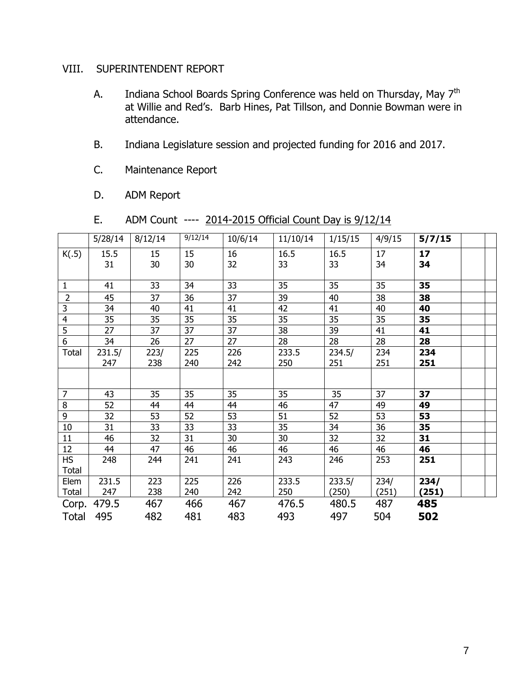# VIII. SUPERINTENDENT REPORT

- A. Indiana School Boards Spring Conference was held on Thursday, May 7<sup>th</sup> at Willie and Red's. Barb Hines, Pat Tillson, and Donnie Bowman were in attendance.
- B. Indiana Legislature session and projected funding for 2016 and 2017.
- C. Maintenance Report
- D. ADM Report

| ADM Count ---- 2014-2015 Official Count Day is 9/12/14<br>Ε. |  |
|--------------------------------------------------------------|--|
|--------------------------------------------------------------|--|

|                 | 5/28/14 | 8/12/14 | 9/12/14 | 10/6/14         | 11/10/14 | 1/15/15 | 4/9/15 | 5/7/15 |  |
|-----------------|---------|---------|---------|-----------------|----------|---------|--------|--------|--|
| K(.5)           | 15.5    | 15      | 15      | 16              | 16.5     | 16.5    | 17     | 17     |  |
|                 | 31      | 30      | 30      | 32              | 33       | 33      | 34     | 34     |  |
|                 |         |         |         |                 |          |         |        |        |  |
| $\mathbf{1}$    | 41      | 33      | 34      | 33              | 35       | 35      | 35     | 35     |  |
| $\overline{2}$  | 45      | 37      | 36      | 37              | 39       | 40      | 38     | 38     |  |
| 3               | 34      | 40      | 41      | 41              | 42       | 41      | 40     | 40     |  |
| $\overline{4}$  | 35      | 35      | 35      | 35              | 35       | 35      | 35     | 35     |  |
| 5               | 27      | 37      | 37      | 37              | 38       | 39      | 41     | 41     |  |
| 6               | 34      | 26      | 27      | 27              | 28       | 28      | 28     | 28     |  |
| <b>Total</b>    | 231.5/  | 223/    | 225     | 226             | 233.5    | 234.5/  | 234    | 234    |  |
|                 | 247     | 238     | 240     | 242             | 250      | 251     | 251    | 251    |  |
|                 |         |         |         |                 |          |         |        |        |  |
| $\overline{7}$  | 43      |         | 35      |                 | 35       | 35      | 37     | 37     |  |
|                 |         | 35      |         | 35              |          |         |        |        |  |
| $\bf 8$         | 52      | 44      | 44      | 44              | 46       | 47      | 49     | 49     |  |
| 9               | 32      | 53      | 52      | 53              | 51       | 52      | 53     | 53     |  |
| $10\,$          | 31      | 33      | 33      | $\overline{33}$ | 35       | 34      | 36     | 35     |  |
| 11              | 46      | 32      | 31      | 30              | 30       | 32      | 32     | 31     |  |
| 12              | 44      | 47      | 46      | 46              | 46       | 46      | 46     | 46     |  |
| $\overline{HS}$ | 248     | 244     | 241     | 241             | 243      | 246     | 253    | 251    |  |
| Total           |         |         |         |                 |          |         |        |        |  |
| Elem            | 231.5   | 223     | 225     | 226             | 233.5    | 233.5/  | 234/   | 234/   |  |
| Total           | 247     | 238     | 240     | 242             | 250      | (250)   | (251)  | (251)  |  |
| Corp.           | 479.5   | 467     | 466     | 467             | 476.5    | 480.5   | 487    | 485    |  |
| <b>Total</b>    | 495     | 482     | 481     | 483             | 493      | 497     | 504    | 502    |  |